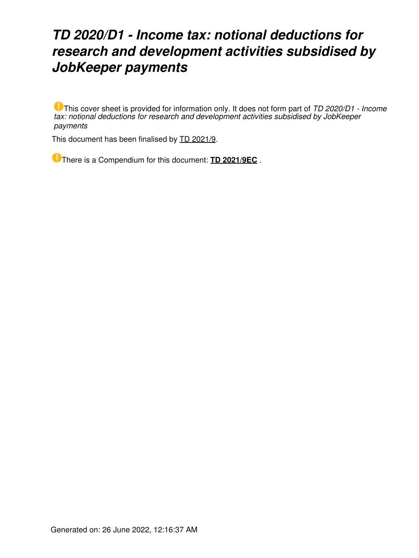# *TD 2020/D1 - Income tax: notional deductions for research and development activities subsidised by JobKeeper payments*

This cover sheet is provided for information only. It does not form part of *TD 2020/D1 - Income tax: notional deductions for research and development activities subsidised by JobKeeper payments*

This document has been finalised by [TD 2021/9](https://www.ato.gov.au/law/view/document?LocID=%22TXD%2FTD20219%2FNAT%2FATO%22&PiT=99991231235958).

There is a Compendium for this document: **[TD 2021/9EC](https://www.ato.gov.au/law/view/document?LocID=%22CTD%2FTD2021EC9%2FNAT%2FATO%2F00001%22&PiT=99991231235958)** .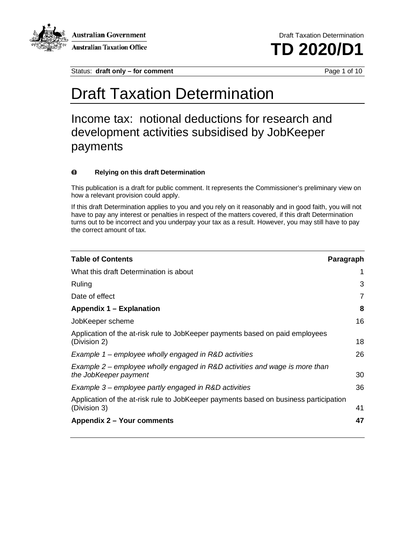

**Australian Government Australian Taxation Office** 

Draft Taxation Determination **TD 2020/D1**

Status: **draft only – for comment** Page 1 of 10

# Draft Taxation Determination

Income tax: notional deductions for research and development activities subsidised by JobKeeper payments

#### $\bullet$ **Relying on this draft Determination**

This publication is a draft for public comment. It represents the Commissioner's preliminary view on how a relevant provision could apply.

If this draft Determination applies to you and you rely on it reasonably and in good faith, you will not have to pay any interest or penalties in respect of the matters covered, if this draft Determination turns out to be incorrect and you underpay your tax as a result. However, you may still have to pay the correct amount of tax.

| <b>Table of Contents</b>                                                                              | Paragraph |
|-------------------------------------------------------------------------------------------------------|-----------|
| What this draft Determination is about                                                                | 1         |
| Ruling                                                                                                | 3         |
| Date of effect                                                                                        | 7         |
| Appendix 1 – Explanation                                                                              | 8         |
| JobKeeper scheme                                                                                      | 16        |
| Application of the at-risk rule to JobKeeper payments based on paid employees<br>(Division 2)         | 18        |
| Example $1$ – employee wholly engaged in R&D activities                                               | 26        |
| Example 2 – employee wholly engaged in R&D activities and wage is more than<br>the JobKeeper payment  | 30        |
| Example 3 – employee partly engaged in R&D activities                                                 | 36        |
| Application of the at-risk rule to JobKeeper payments based on business participation<br>(Division 3) | 41        |
| Appendix 2 – Your comments                                                                            | 47        |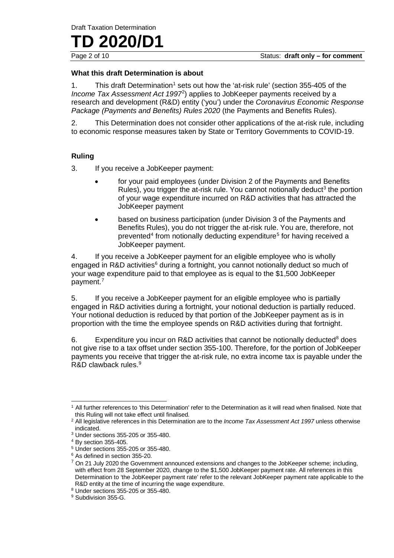**TD** 2020/D'

#### **What this draft Determination is about**

[1](#page-2-0). This draft Determination<sup>1</sup> sets out how the 'at-risk rule' (section 355-405 of the *Income Tax Assessment Act 1997*[2](#page-2-1) ) applies to JobKeeper payments received by a research and development (R&D) entity ('you') under the *Coronavirus Economic Response Package (Payments and Benefits) Rules 2020* (the Payments and Benefits Rules).

2. This Determination does not consider other applications of the at-risk rule, including to economic response measures taken by State or Territory Governments to COVID-19.

### **Ruling**

3. If you receive a JobKeeper payment:

- for your paid employees (under Division 2 of the Payments and Benefits Rules), you trigger the at-risk rule. You cannot notionally deduct<sup>[3](#page-2-2)</sup> the portion of your wage expenditure incurred on R&D activities that has attracted the JobKeeper payment
- based on business participation (under Division 3 of the Payments and Benefits Rules), you do not trigger the at-risk rule. You are, therefore, not prevented<sup>[4](#page-2-3)</sup> from notionally deducting expenditure<sup>[5](#page-2-4)</sup> for having received a JobKeeper payment.

4. If you receive a JobKeeper payment for an eligible employee who is wholly engaged in R&D activities<sup>6</sup> during a fortnight, you cannot notionally deduct so much of your wage expenditure paid to that employee as is equal to the \$1,500 JobKeeper payment. [7](#page-2-6)

5. If you receive a JobKeeper payment for an eligible employee who is partially engaged in R&D activities during a fortnight, your notional deduction is partially reduced. Your notional deduction is reduced by that portion of the JobKeeper payment as is in proportion with the time the employee spends on R&D activities during that fortnight.

6. Expenditure you incur on R&D activities that cannot be notionally deducted<sup>[8](#page-2-7)</sup> does not give rise to a tax offset under section 355-100. Therefore, for the portion of JobKeeper payments you receive that trigger the at-risk rule, no extra income tax is payable under the R&D clawback rules.<sup>[9](#page-2-8)</sup>

<span id="page-2-0"></span><sup>1</sup> All further references to 'this Determination' refer to the Determination as it will read when finalised. Note that this Ruling will not take effect until finalised.

<span id="page-2-1"></span><sup>2</sup> All legislative references in this Determination are to the *Income Tax Assessment Act 1997* unless otherwise indicated.

<span id="page-2-2"></span><sup>3</sup> Under sections 355-205 or 355-480.

<span id="page-2-3"></span><sup>4</sup> By section 355-405.

<span id="page-2-4"></span><sup>5</sup> Under sections 355-205 or 355-480.

<span id="page-2-5"></span><sup>6</sup> As defined in section 355-20.

<span id="page-2-6"></span><sup>&</sup>lt;sup>7</sup> On 21 July 2020 the Government announced extensions and changes to the JobKeeper scheme; including, with effect from 28 September 2020, change to the \$1,500 JobKeeper payment rate. All references in this Determination to 'the JobKeeper payment rate' refer to the relevant JobKeeper payment rate applicable to the R&D entity at the time of incurring the wage expenditure.

<span id="page-2-7"></span><sup>8</sup> Under sections 355-205 or 355-480.

<span id="page-2-8"></span><sup>&</sup>lt;sup>9</sup> Subdivision 355-G.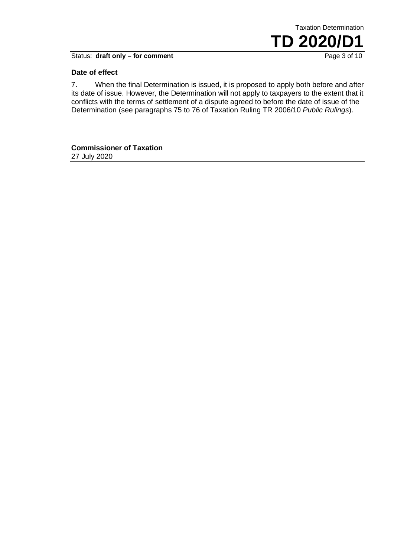Status: draft only - for comment

#### **Date of effect**

7. When the final Determination is issued, it is proposed to apply both before and after its date of issue. However, the Determination will not apply to taxpayers to the extent that it conflicts with the terms of settlement of a dispute agreed to before the date of issue of the Determination (see paragraphs 75 to 76 of Taxation Ruling TR 2006/10 *Public Rulings*).

Taxation Determination

**TD** 2020/D1

**Commissioner of Taxation** 27 July 2020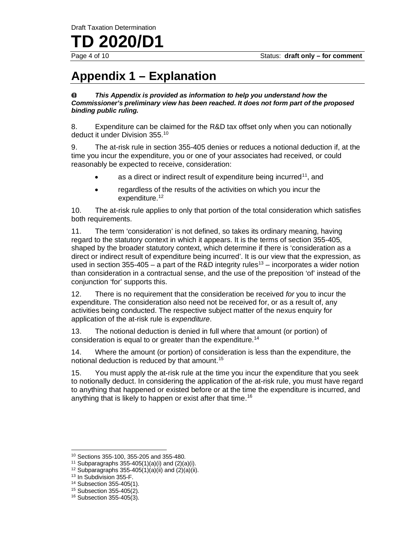#### Draft Taxation Determination

**2020/** 

## **Appendix 1 – Explanation**

#### $\bf{0}$ *This Appendix is provided as information to help you understand how the Commissioner's preliminary view has been reached. It does not form part of the proposed binding public ruling.*

8. Expenditure can be claimed for the R&D tax offset only when you can notionally deduct it under Division 355.<sup>[10](#page-4-0)</sup>

9. The at-risk rule in section 355-405 denies or reduces a notional deduction if, at the time you incur the expenditure, you or one of your associates had received, or could reasonably be expected to receive, consideration:

- as a direct or indirect result of expenditure being incurred<sup>[11](#page-4-1)</sup>, and
- regardless of the results of the activities on which you incur the expenditure. [12](#page-4-2)

10. The at-risk rule applies to only that portion of the total consideration which satisfies both requirements.

<span id="page-4-7"></span>11. The term 'consideration' is not defined, so takes its ordinary meaning, having regard to the statutory context in which it appears. It is the terms of section 355-405, shaped by the broader statutory context, which determine if there is 'consideration as a direct or indirect result of expenditure being incurred'. It is our view that the expression, as used in section 355-405 – a part of the R&D integrity rules<sup>[13](#page-4-3)</sup> – incorporates a wider notion than consideration in a contractual sense, and the use of the preposition 'of' instead of the conjunction 'for' supports this.

12. There is no requirement that the consideration be received *for* you to incur the expenditure. The consideration also need not be received for, or as a result of, any activities being conducted. The respective subject matter of the nexus enquiry for application of the at-risk rule is *expenditure*.

13. The notional deduction is denied in full where that amount (or portion) of consideration is equal to or greater than the expenditure.[14](#page-4-4)

14. Where the amount (or portion) of consideration is less than the expenditure, the notional deduction is reduced by that amount.[15](#page-4-5)

15. You must apply the at-risk rule at the time you incur the expenditure that you seek to notionally deduct. In considering the application of the at-risk rule, you must have regard to anything that happened or existed before or at the time the expenditure is incurred, and anything that is likely to happen or exist after that time.<sup>[16](#page-4-6)</sup>

<span id="page-4-0"></span><sup>10</sup> Sections 355-100, 355-205 and 355-480.

<span id="page-4-1"></span><sup>&</sup>lt;sup>11</sup> Subparagraphs 355-405(1)(a)(i) and  $(2)(a)(i)$ .

<span id="page-4-2"></span> $12$  Subparagraphs 355-405(1)(a)(ii) and (2)(a)(ii).

<span id="page-4-3"></span><sup>&</sup>lt;sup>13</sup> In Subdivision 355-F.

<span id="page-4-4"></span><sup>14</sup> Subsection 355-405(1).

<span id="page-4-5"></span><sup>15</sup> Subsection 355-405(2).

<span id="page-4-6"></span><sup>16</sup> Subsection 355-405(3).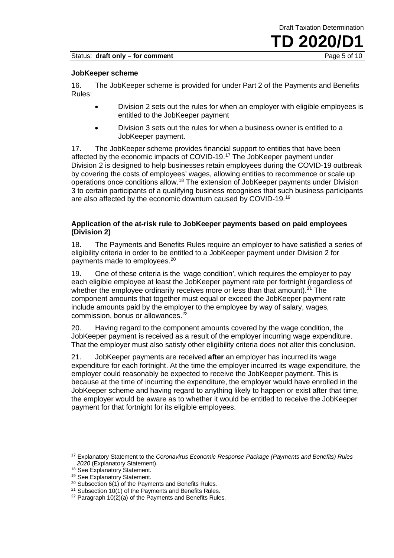#### **JobKeeper scheme**

16. The JobKeeper scheme is provided for under Part 2 of the Payments and Benefits Rules:

- Division 2 sets out the rules for when an employer with eligible employees is entitled to the JobKeeper payment
- Division 3 sets out the rules for when a business owner is entitled to a JobKeeper payment.

17. The JobKeeper scheme provides financial support to entities that have been affected by the economic impacts of COVID-19.[17](#page-5-0) The JobKeeper payment under Division 2 is designed to help businesses retain employees during the COVID-19 outbreak by covering the costs of employees' wages, allowing entities to recommence or scale up operations once conditions allow.<sup>[18](#page-5-1)</sup> The extension of JobKeeper payments under Division 3 to certain participants of a qualifying business recognises that such business participants are also affected by the economic downturn caused by COVID-[19](#page-5-2).<sup>19</sup>

#### **Application of the at-risk rule to JobKeeper payments based on paid employees (Division 2)**

18. The Payments and Benefits Rules require an employer to have satisfied a series of eligibility criteria in order to be entitled to a JobKeeper payment under Division 2 for payments made to employees.<sup>[20](#page-5-3)</sup>

19. One of these criteria is the 'wage condition', which requires the employer to pay each eligible employee at least the JobKeeper payment rate per fortnight (regardless of whether the employee ordinarily receives more or less than that amount). $^{21}$  $^{21}$  $^{21}$  The component amounts that together must equal or exceed the JobKeeper payment rate include amounts paid by the employer to the employee by way of salary, wages, commission, bonus or allowances. [22](#page-5-5)

20. Having regard to the component amounts covered by the wage condition, the JobKeeper payment is received as a result of the employer incurring wage expenditure. That the employer must also satisfy other eligibility criteria does not alter this conclusion.

21. JobKeeper payments are received **after** an employer has incurred its wage expenditure for each fortnight. At the time the employer incurred its wage expenditure, the employer could reasonably be expected to receive the JobKeeper payment. This is because at the time of incurring the expenditure, the employer would have enrolled in the JobKeeper scheme and having regard to anything likely to happen or exist after that time, the employer would be aware as to whether it would be entitled to receive the JobKeeper payment for that fortnight for its eligible employees.

<span id="page-5-0"></span><sup>17</sup> Explanatory Statement to the *Coronavirus Economic Response Package (Payments and Benefits) Rules 2020* (Explanatory Statement).

<span id="page-5-1"></span><sup>&</sup>lt;sup>18</sup> See Explanatory Statement.

<span id="page-5-2"></span><sup>19</sup> See Explanatory Statement.

<span id="page-5-3"></span><sup>&</sup>lt;sup>20</sup> Subsection 6(1) of the Payments and Benefits Rules.

<span id="page-5-4"></span><sup>&</sup>lt;sup>21</sup> Subsection  $10(1)$  of the Payments and Benefits Rules.

<span id="page-5-5"></span> $22$  Paragraph 10(2)(a) of the Payments and Benefits Rules.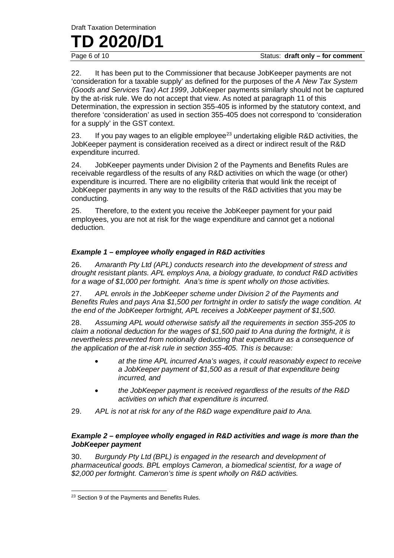Draft Taxation Determination

# **TD** 2020/D1

22. It has been put to the Commissioner that because JobKeeper payments are not 'consideration for a taxable supply' as defined for the purposes of the *A New Tax System (Goods and Services Tax) Act 1999*, JobKeeper payments similarly should not be captured by the at-risk rule. We do not accept that view. As noted at paragraph [11](#page-4-7) of this Determination, the expression in section 355-405 is informed by the statutory context, and therefore 'consideration' as used in section 355-405 does not correspond to 'consideration for a supply' in the GST context.

[23](#page-6-0). If you pay wages to an eligible employee<sup>23</sup> undertaking eligible R&D activities, the JobKeeper payment is consideration received as a direct or indirect result of the R&D expenditure incurred.

24. JobKeeper payments under Division 2 of the Payments and Benefits Rules are receivable regardless of the results of any R&D activities on which the wage (or other) expenditure is incurred. There are no eligibility criteria that would link the receipt of JobKeeper payments in any way to the results of the R&D activities that you may be conducting.

25. Therefore, to the extent you receive the JobKeeper payment for your paid employees, you are not at risk for the wage expenditure and cannot get a notional deduction.

#### *Example 1 – employee wholly engaged in R&D activities*

26. *Amaranth Pty Ltd (APL) conducts research into the development of stress and drought resistant plants. APL employs Ana, a biology graduate, to conduct R&D activities for a wage of \$1,000 per fortnight. Ana's time is spent wholly on those activities.*

27. *APL enrols in the JobKeeper scheme under Division 2 of the Payments and Benefits Rules and pays Ana \$1,500 per fortnight in order to satisfy the wage condition. At the end of the JobKeeper fortnight, APL receives a JobKeeper payment of \$1,500.*

28. *Assuming APL would otherwise satisfy all the requirements in section 355-205 to claim a notional deduction for the wages of \$1,500 paid to Ana during the fortnight, it is nevertheless prevented from notionally deducting that expenditure as a consequence of the application of the at-risk rule in section 355-405. This is because:*

- *at the time APL incurred Ana's wages, it could reasonably expect to receive a JobKeeper payment of \$1,500 as a result of that expenditure being incurred, and*
- *the JobKeeper payment is received regardless of the results of the R&D activities on which that expenditure is incurred.*
- 29. *APL is not at risk for any of the R&D wage expenditure paid to Ana.*

#### *Example 2 – employee wholly engaged in R&D activities and wage is more than the JobKeeper payment*

30. *Burgundy Pty Ltd (BPL) is engaged in the research and development of pharmaceutical goods. BPL employs Cameron, a biomedical scientist, for a wage of \$2,000 per fortnight. Cameron's time is spent wholly on R&D activities.*

<span id="page-6-0"></span><sup>&</sup>lt;sup>23</sup> Section 9 of the Payments and Benefits Rules.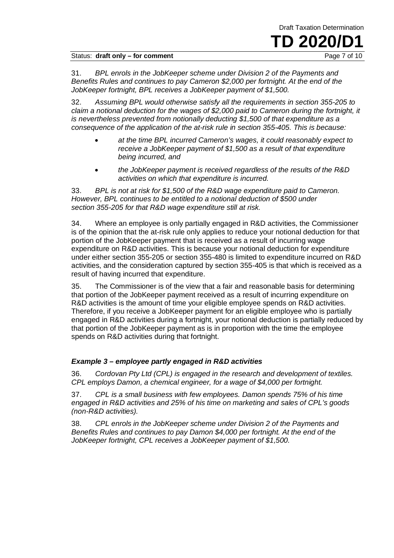#### Status: **draft only – for comment Example 2 of 10** Page 7 of 10

31. *BPL enrols in the JobKeeper scheme under Division 2 of the Payments and Benefits Rules and continues to pay Cameron \$2,000 per fortnight. At the end of the JobKeeper fortnight, BPL receives a JobKeeper payment of \$1,500.*

32. *Assuming BPL would otherwise satisfy all the requirements in section 355-205 to claim a notional deduction for the wages of \$2,000 paid to Cameron during the fortnight, it is nevertheless prevented from notionally deducting \$1,500 of that expenditure as a consequence of the application of the at-risk rule in section 355-405. This is because:*

- *at the time BPL incurred Cameron's wages, it could reasonably expect to receive a JobKeeper payment of \$1,500 as a result of that expenditure being incurred, and*
- *the JobKeeper payment is received regardless of the results of the R&D activities on which that expenditure is incurred.*

33. *BPL is not at risk for \$1,500 of the R&D wage expenditure paid to Cameron. However, BPL continues to be entitled to a notional deduction of \$500 under section 355-205 for that R&D wage expenditure still at risk.*

34. Where an employee is only partially engaged in R&D activities, the Commissioner is of the opinion that the at-risk rule only applies to reduce your notional deduction for that portion of the JobKeeper payment that is received as a result of incurring wage expenditure on R&D activities. This is because your notional deduction for expenditure under either section 355-205 or section 355-480 is limited to expenditure incurred on R&D activities, and the consideration captured by section 355-405 is that which is received as a result of having incurred that expenditure.

35. The Commissioner is of the view that a fair and reasonable basis for determining that portion of the JobKeeper payment received as a result of incurring expenditure on R&D activities is the amount of time your eligible employee spends on R&D activities. Therefore, if you receive a JobKeeper payment for an eligible employee who is partially engaged in R&D activities during a fortnight, your notional deduction is partially reduced by that portion of the JobKeeper payment as is in proportion with the time the employee spends on R&D activities during that fortnight.

### *Example 3 – employee partly engaged in R&D activities*

36. *Cordovan Pty Ltd (CPL) is engaged in the research and development of textiles. CPL employs Damon, a chemical engineer, for a wage of \$4,000 per fortnight.*

37. *CPL is a small business with few employees. Damon spends 75% of his time engaged in R&D activities and 25% of his time on marketing and sales of CPL's goods (non-R&D activities).*

38. *CPL enrols in the JobKeeper scheme under Division 2 of the Payments and Benefits Rules and continues to pay Damon \$4,000 per fortnight. At the end of the JobKeeper fortnight, CPL receives a JobKeeper payment of \$1,500.*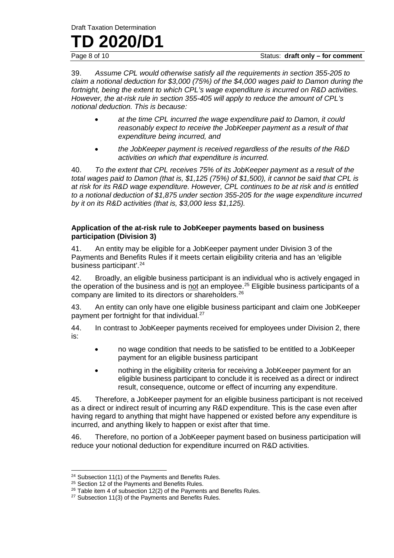Draft Taxation Determination

# **TD** 2020/D1

Status: **draft only – for comment** 

39. *Assume CPL would otherwise satisfy all the requirements in section 355-205 to claim a notional deduction for \$3,000 (75%) of the \$4,000 wages paid to Damon during the fortnight, being the extent to which CPL's wage expenditure is incurred on R&D activities. However, the at-risk rule in section 355-405 will apply to reduce the amount of CPL's notional deduction. This is because:*

- *at the time CPL incurred the wage expenditure paid to Damon, it could reasonably expect to receive the JobKeeper payment as a result of that expenditure being incurred, and*
- *the JobKeeper payment is received regardless of the results of the R&D activities on which that expenditure is incurred.*

40. *To the extent that CPL receives 75% of its JobKeeper payment as a result of the total wages paid to Damon (that is, \$1,125 (75%) of \$1,500), it cannot be said that CPL is at risk for its R&D wage expenditure. However, CPL continues to be at risk and is entitled to a notional deduction of \$1,875 under section 355-205 for the wage expenditure incurred by it on its R&D activities (that is, \$3,000 less \$1,125).*

#### **Application of the at-risk rule to JobKeeper payments based on business participation (Division 3)**

41. An entity may be eligible for a JobKeeper payment under Division 3 of the Payments and Benefits Rules if it meets certain eligibility criteria and has an 'eligible business participant'.[24](#page-8-0)

42. Broadly, an eligible business participant is an individual who is actively engaged in the operation of the business and is not an employee.<sup>[25](#page-8-1)</sup> Eligible business participants of a company are limited to its directors or shareholders.[26](#page-8-2)

43. An entity can only have one eligible business participant and claim one JobKeeper payment per fortnight for that individual.<sup>[27](#page-8-3)</sup>

44. In contrast to JobKeeper payments received for employees under Division 2, there is:

- no wage condition that needs to be satisfied to be entitled to a JobKeeper payment for an eligible business participant
- nothing in the eligibility criteria for receiving a JobKeeper payment for an eligible business participant to conclude it is received as a direct or indirect result, consequence, outcome or effect of incurring any expenditure.

45. Therefore, a JobKeeper payment for an eligible business participant is not received as a direct or indirect result of incurring any R&D expenditure. This is the case even after having regard to anything that might have happened or existed before any expenditure is incurred, and anything likely to happen or exist after that time.

46. Therefore, no portion of a JobKeeper payment based on business participation will reduce your notional deduction for expenditure incurred on R&D activities.

<span id="page-8-0"></span><sup>&</sup>lt;sup>24</sup> Subsection 11(1) of the Payments and Benefits Rules.

<span id="page-8-1"></span><sup>&</sup>lt;sup>25</sup> Section 12 of the Payments and Benefits Rules.

<span id="page-8-2"></span><sup>&</sup>lt;sup>26</sup> Table item 4 of subsection 12(2) of the Payments and Benefits Rules.

<span id="page-8-3"></span><sup>&</sup>lt;sup>27</sup> Subsection 11(3) of the Payments and Benefits Rules.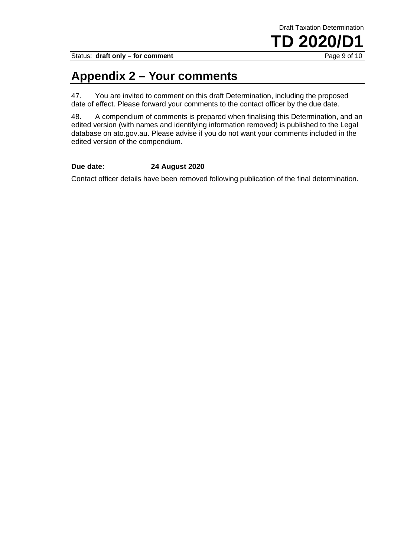Status: draft only - for comment

### **Appendix 2 – Your comments**

47. You are invited to comment on this draft Determination, including the proposed date of effect. Please forward your comments to the contact officer by the due date.

48. A compendium of comments is prepared when finalising this Determination, and an edited version (with names and identifying information removed) is published to the Legal database on ato.gov.au. Please advise if you do not want your comments included in the edited version of the compendium.

#### **Due date: 24 August 2020**

Contact officer details have been removed following publication of the final determination.